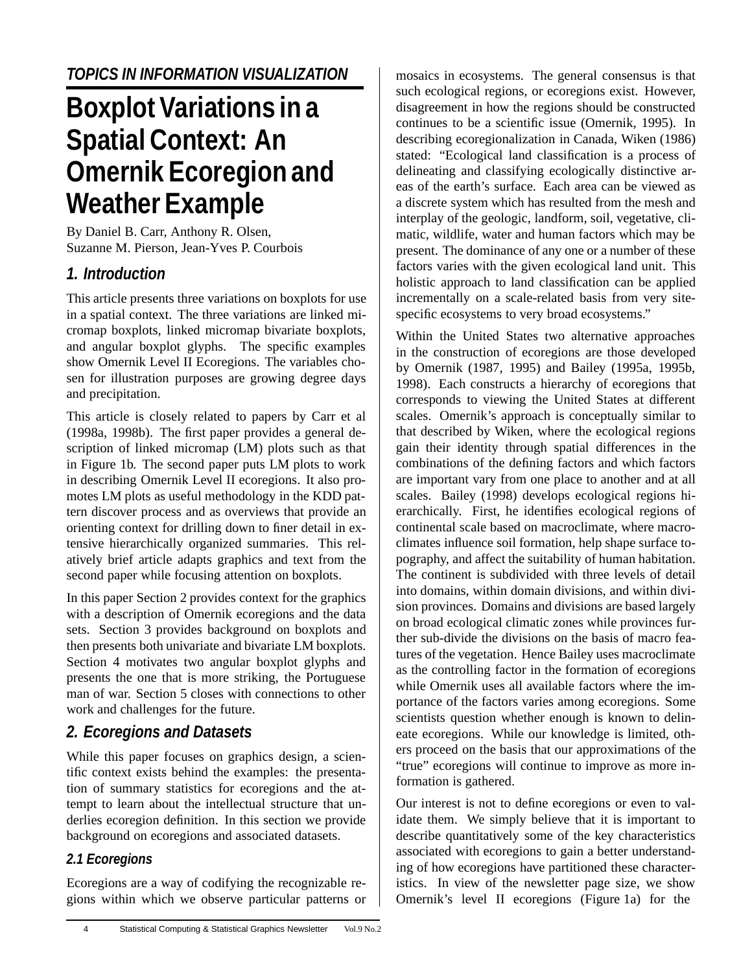# **Boxplot Variations in a Spatial Context: An Omernik Ecoregion and Weather Example**

By Daniel B. Carr, Anthony R. Olsen, Suzanne M. Pierson, Jean-Yves P. Courbois

## **1. Introduction**

This article presents three variations on boxplots for use in a spatial context. The three variations are linked micromap boxplots, linked micromap bivariate boxplots, and angular boxplot glyphs. The specific examples show Omernik Level II Ecoregions. The variables chosen for illustration purposes are growing degree days and precipitation.

This article is closely related to papers by Carr et al (1998a, 1998b). The first paper provides a general description of linked micromap (LM) plots such as that in Figure 1b. The second paper puts LM plots to work in describing Omernik Level II ecoregions. It also promotes LM plots as useful methodology in the KDD pattern discover process and as overviews that provide an orienting context for drilling down to finer detail in extensive hierarchically organized summaries. This relatively brief article adapts graphics and text from the second paper while focusing attention on boxplots.

In this paper Section 2 provides context for the graphics with a description of Omernik ecoregions and the data sets. Section 3 provides background on boxplots and then presents both univariate and bivariate LM boxplots. Section 4 motivates two angular boxplot glyphs and presents the one that is more striking, the Portuguese man of war. Section 5 closes with connections to other work and challenges for the future.

# **2. Ecoregions and Datasets**

While this paper focuses on graphics design, a scientific context exists behind the examples: the presentation of summary statistics for ecoregions and the attempt to learn about the intellectual structure that underlies ecoregion definition. In this section we provide background on ecoregions and associated datasets.

#### **2.1 Ecoregions**

Ecoregions are a way of codifying the recognizable regions within which we observe particular patterns or mosaics in ecosystems. The general consensus is that such ecological regions, or ecoregions exist. However, disagreement in how the regions should be constructed continues to be a scientific issue (Omernik, 1995). In describing ecoregionalization in Canada, Wiken (1986) stated: "Ecological land classification is a process of delineating and classifying ecologically distinctive areas of the earth's surface. Each area can be viewed as a discrete system which has resulted from the mesh and interplay of the geologic, landform, soil, vegetative, climatic, wildlife, water and human factors which may be present. The dominance of any one or a number of these factors varies with the given ecological land unit. This holistic approach to land classification can be applied incrementally on a scale-related basis from very sitespecific ecosystems to very broad ecosystems."

Within the United States two alternative approaches in the construction of ecoregions are those developed by Omernik (1987, 1995) and Bailey (1995a, 1995b, 1998). Each constructs a hierarchy of ecoregions that corresponds to viewing the United States at different scales. Omernik's approach is conceptually similar to that described by Wiken, where the ecological regions gain their identity through spatial differences in the combinations of the defining factors and which factors are important vary from one place to another and at all scales. Bailey (1998) develops ecological regions hierarchically. First, he identifies ecological regions of continental scale based on macroclimate, where macroclimates influence soil formation, help shape surface topography, and affect the suitability of human habitation. The continent is subdivided with three levels of detail into domains, within domain divisions, and within division provinces. Domains and divisions are based largely on broad ecological climatic zones while provinces further sub-divide the divisions on the basis of macro features of the vegetation. Hence Bailey uses macroclimate as the controlling factor in the formation of ecoregions while Omernik uses all available factors where the importance of the factors varies among ecoregions. Some scientists question whether enough is known to delineate ecoregions. While our knowledge is limited, others proceed on the basis that our approximations of the "true" ecoregions will continue to improve as more information is gathered.

Our interest is not to define ecoregions or even to validate them. We simply believe that it is important to describe quantitatively some of the key characteristics associated with ecoregions to gain a better understanding of how ecoregions have partitioned these characteristics. In view of the newsletter page size, we show Omernik's level II ecoregions (Figure 1a) for the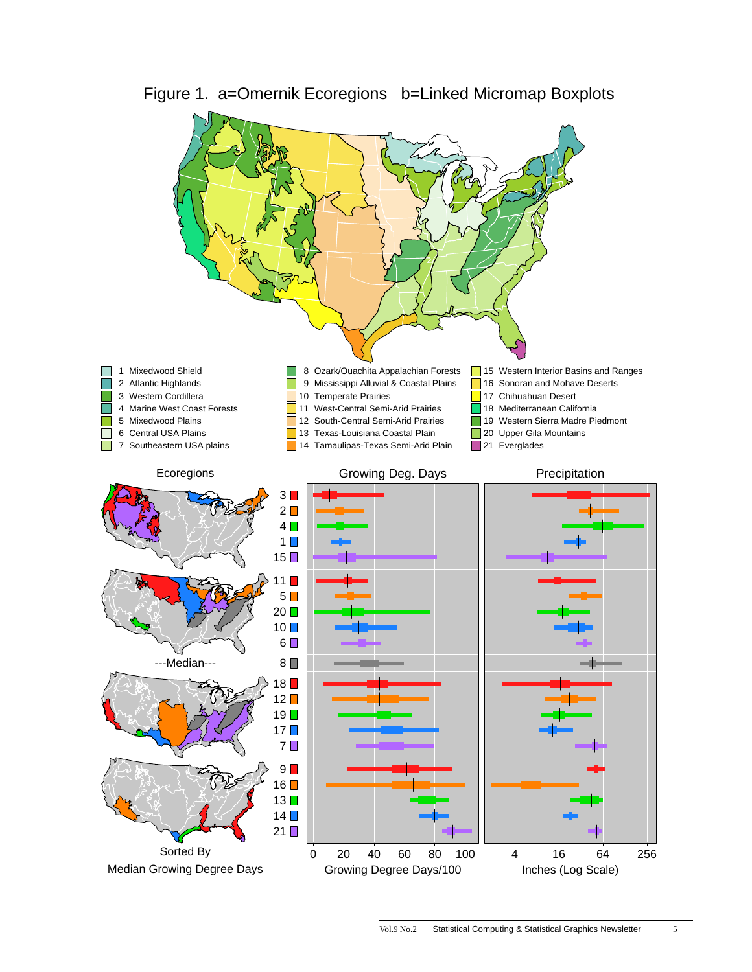

#### Figure 1. a=Omernik Ecoregions b=Linked Micromap Boxplots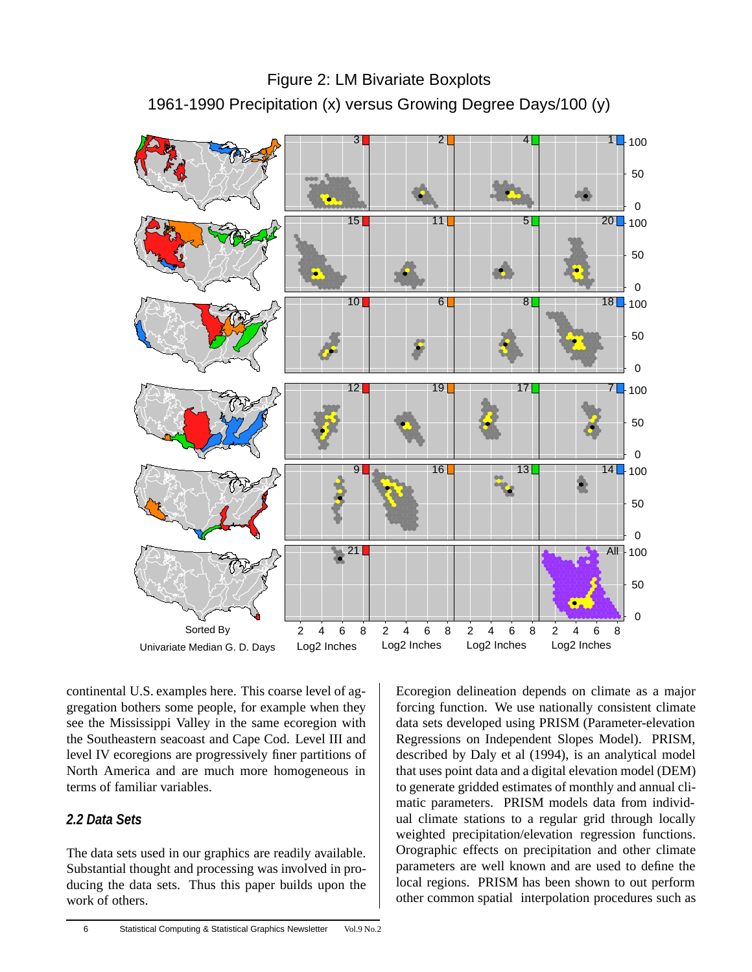

Figure 2: LM Bivariate Boxplots 1961-1990 Precipitation (x) versus Growing Degree Days/100 (y)

continental U.S. examples here. This coarse level of aggregation bothers some people, for example when they see the Mississippi Valley in the same ecoregion with the Southeastern seacoast and Cape Cod. Level III and level IV ecoregions are progressively finer partitions of North America and are much more homogeneous in terms of familiar variables.

#### **2.2 Data Sets**

The data sets used in our graphics are readily available. Substantial thought and processing was involved in producing the data sets. Thus this paper builds upon the work of others.

Ecoregion delineation depends on climate as a major forcing function. We use nationally consistent climate data sets developed using PRISM (Parameter-elevation Regressions on Independent Slopes Model). PRISM, described by Daly et al (1994), is an analytical model that uses point data and a digital elevation model (DEM) to generate gridded estimates of monthly and annual climatic parameters. PRISM models data from individual climate stations to a regular grid through locally weighted precipitation/elevation regression functions. Orographic effects on precipitation and other climate parameters are well known and are used to define the local regions. PRISM has been shown to out perform other common spatial interpolation procedures such as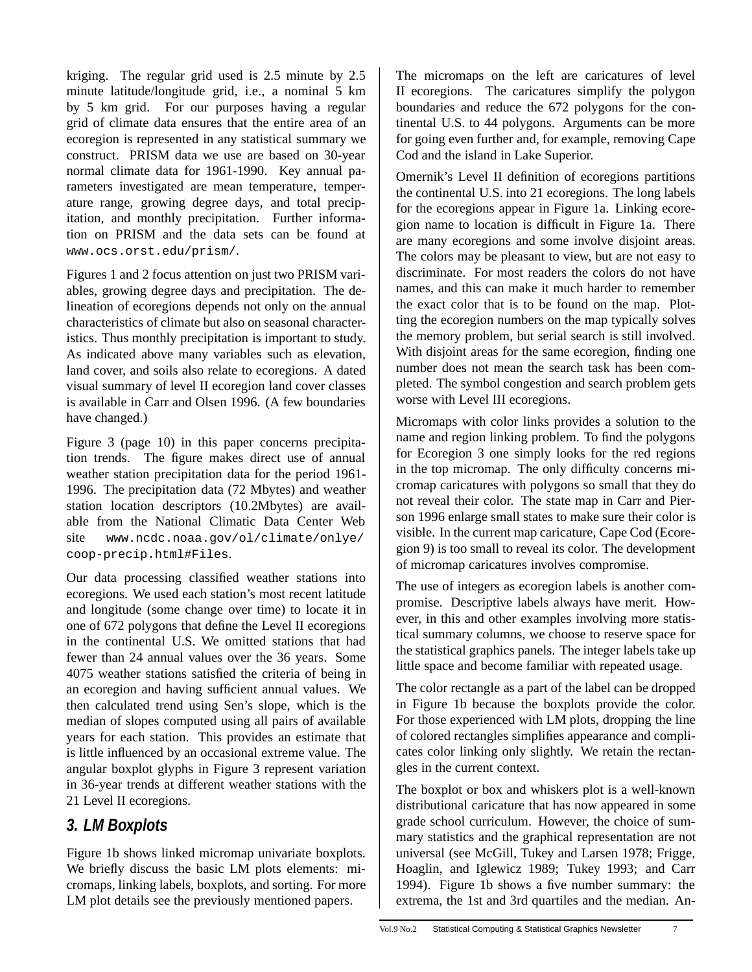kriging. The regular grid used is 2.5 minute by 2.5 minute latitude/longitude grid, i.e., a nominal 5 km by 5 km grid. For our purposes having a regular grid of climate data ensures that the entire area of an ecoregion is represented in any statistical summary we construct. PRISM data we use are based on 30-year normal climate data for 1961-1990. Key annual parameters investigated are mean temperature, temperature range, growing degree days, and total precipitation, and monthly precipitation. Further information on PRISM and the data sets can be found at www.ocs.orst.edu/prism/.

Figures 1 and 2 focus attention on just two PRISM variables, growing degree days and precipitation. The delineation of ecoregions depends not only on the annual characteristics of climate but also on seasonal characteristics. Thus monthly precipitation is important to study. As indicated above many variables such as elevation, land cover, and soils also relate to ecoregions. A dated visual summary of level II ecoregion land cover classes is available in Carr and Olsen 1996. (A few boundaries have changed.)

Figure 3 (page 10) in this paper concerns precipitation trends. The figure makes direct use of annual weather station precipitation data for the period 1961- 1996. The precipitation data (72 Mbytes) and weather station location descriptors (10.2Mbytes) are available from the National Climatic Data Center Web site www.ncdc.noaa.gov/ol/climate/onlye/ coop-precip.html#Files.

Our data processing classified weather stations into ecoregions. We used each station's most recent latitude and longitude (some change over time) to locate it in one of 672 polygons that define the Level II ecoregions in the continental U.S. We omitted stations that had fewer than 24 annual values over the 36 years. Some 4075 weather stations satisfied the criteria of being in an ecoregion and having sufficient annual values. We then calculated trend using Sen's slope, which is the median of slopes computed using all pairs of available years for each station. This provides an estimate that is little influenced by an occasional extreme value. The angular boxplot glyphs in Figure 3 represent variation in 36-year trends at different weather stations with the 21 Level II ecoregions.

## **3. LM Boxplots**

Figure 1b shows linked micromap univariate boxplots. We briefly discuss the basic LM plots elements: micromaps, linking labels, boxplots, and sorting. For more LM plot details see the previously mentioned papers.

The micromaps on the left are caricatures of level II ecoregions. The caricatures simplify the polygon boundaries and reduce the 672 polygons for the continental U.S. to 44 polygons. Arguments can be more for going even further and, for example, removing Cape Cod and the island in Lake Superior.

Omernik's Level II definition of ecoregions partitions the continental U.S. into 21 ecoregions. The long labels for the ecoregions appear in Figure 1a. Linking ecoregion name to location is difficult in Figure 1a. There are many ecoregions and some involve disjoint areas. The colors may be pleasant to view, but are not easy to discriminate. For most readers the colors do not have names, and this can make it much harder to remember the exact color that is to be found on the map. Plotting the ecoregion numbers on the map typically solves the memory problem, but serial search is still involved. With disjoint areas for the same ecoregion, finding one number does not mean the search task has been completed. The symbol congestion and search problem gets worse with Level III ecoregions.

Micromaps with color links provides a solution to the name and region linking problem. To find the polygons for Ecoregion 3 one simply looks for the red regions in the top micromap. The only difficulty concerns micromap caricatures with polygons so small that they do not reveal their color. The state map in Carr and Pierson 1996 enlarge small states to make sure their color is visible. In the current map caricature, Cape Cod (Ecoregion 9) is too small to reveal its color. The development of micromap caricatures involves compromise.

The use of integers as ecoregion labels is another compromise. Descriptive labels always have merit. However, in this and other examples involving more statistical summary columns, we choose to reserve space for the statistical graphics panels. The integer labels take up little space and become familiar with repeated usage.

The color rectangle as a part of the label can be dropped in Figure 1b because the boxplots provide the color. For those experienced with LM plots, dropping the line of colored rectangles simplifies appearance and complicates color linking only slightly. We retain the rectangles in the current context.

The boxplot or box and whiskers plot is a well-known distributional caricature that has now appeared in some grade school curriculum. However, the choice of summary statistics and the graphical representation are not universal (see McGill, Tukey and Larsen 1978; Frigge, Hoaglin, and Iglewicz 1989; Tukey 1993; and Carr 1994). Figure 1b shows a five number summary: the extrema, the 1st and 3rd quartiles and the median. An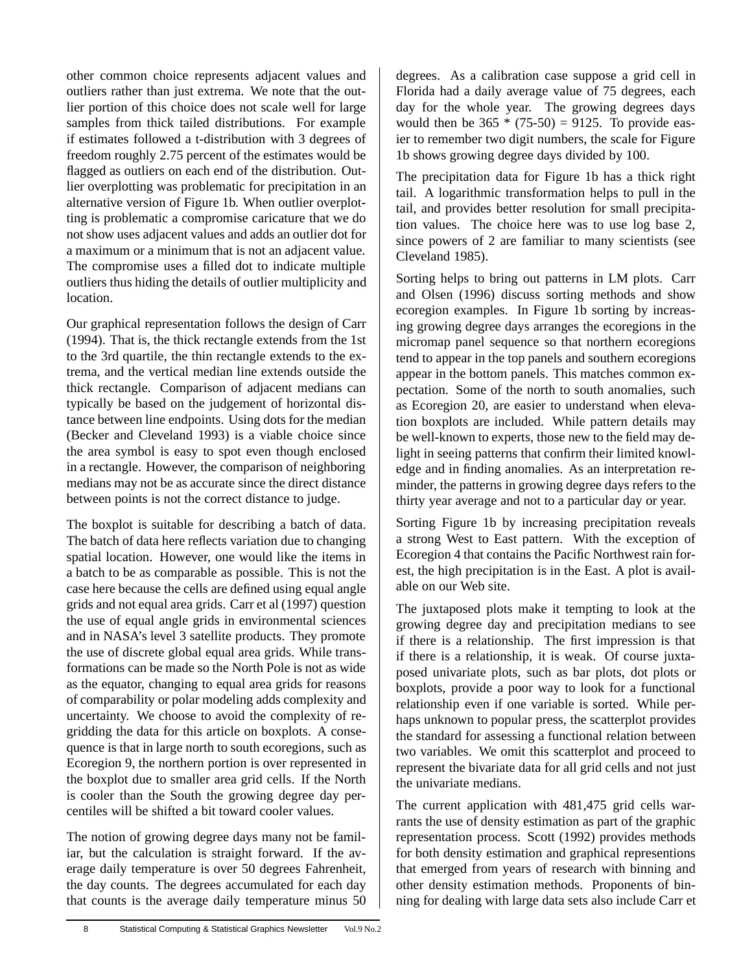other common choice represents adjacent values and outliers rather than just extrema. We note that the outlier portion of this choice does not scale well for large samples from thick tailed distributions. For example if estimates followed a t-distribution with 3 degrees of freedom roughly 2.75 percent of the estimates would be flagged as outliers on each end of the distribution. Outlier overplotting was problematic for precipitation in an alternative version of Figure 1b. When outlier overplotting is problematic a compromise caricature that we do not show uses adjacent values and adds an outlier dot for a maximum or a minimum that is not an adjacent value. The compromise uses a filled dot to indicate multiple outliers thus hiding the details of outlier multiplicity and location.

Our graphical representation follows the design of Carr (1994). That is, the thick rectangle extends from the 1st to the 3rd quartile, the thin rectangle extends to the extrema, and the vertical median line extends outside the thick rectangle. Comparison of adjacent medians can typically be based on the judgement of horizontal distance between line endpoints. Using dots for the median (Becker and Cleveland 1993) is a viable choice since the area symbol is easy to spot even though enclosed in a rectangle. However, the comparison of neighboring medians may not be as accurate since the direct distance between points is not the correct distance to judge.

The boxplot is suitable for describing a batch of data. The batch of data here reflects variation due to changing spatial location. However, one would like the items in a batch to be as comparable as possible. This is not the case here because the cells are defined using equal angle grids and not equal area grids. Carr et al (1997) question the use of equal angle grids in environmental sciences and in NASA's level 3 satellite products. They promote the use of discrete global equal area grids. While transformations can be made so the North Pole is not as wide as the equator, changing to equal area grids for reasons of comparability or polar modeling adds complexity and uncertainty. We choose to avoid the complexity of regridding the data for this article on boxplots. A consequence is that in large north to south ecoregions, such as Ecoregion 9, the northern portion is over represented in the boxplot due to smaller area grid cells. If the North is cooler than the South the growing degree day percentiles will be shifted a bit toward cooler values.

The notion of growing degree days many not be familiar, but the calculation is straight forward. If the average daily temperature is over 50 degrees Fahrenheit, the day counts. The degrees accumulated for each day that counts is the average daily temperature minus 50 degrees. As a calibration case suppose a grid cell in Florida had a daily average value of 75 degrees, each day for the whole year. The growing degrees days would then be  $365 * (75-50) = 9125$ . To provide easier to remember two digit numbers, the scale for Figure 1b shows growing degree days divided by 100.

The precipitation data for Figure 1b has a thick right tail. A logarithmic transformation helps to pull in the tail, and provides better resolution for small precipitation values. The choice here was to use log base 2, since powers of 2 are familiar to many scientists (see Cleveland 1985).

Sorting helps to bring out patterns in LM plots. Carr and Olsen (1996) discuss sorting methods and show ecoregion examples. In Figure 1b sorting by increasing growing degree days arranges the ecoregions in the micromap panel sequence so that northern ecoregions tend to appear in the top panels and southern ecoregions appear in the bottom panels. This matches common expectation. Some of the north to south anomalies, such as Ecoregion 20, are easier to understand when elevation boxplots are included. While pattern details may be well-known to experts, those new to the field may delight in seeing patterns that confirm their limited knowledge and in finding anomalies. As an interpretation reminder, the patterns in growing degree days refers to the thirty year average and not to a particular day or year.

Sorting Figure 1b by increasing precipitation reveals a strong West to East pattern. With the exception of Ecoregion 4 that contains the Pacific Northwest rain forest, the high precipitation is in the East. A plot is available on our Web site.

The juxtaposed plots make it tempting to look at the growing degree day and precipitation medians to see if there is a relationship. The first impression is that if there is a relationship, it is weak. Of course juxtaposed univariate plots, such as bar plots, dot plots or boxplots, provide a poor way to look for a functional relationship even if one variable is sorted. While perhaps unknown to popular press, the scatterplot provides the standard for assessing a functional relation between two variables. We omit this scatterplot and proceed to represent the bivariate data for all grid cells and not just the univariate medians.

The current application with 481,475 grid cells warrants the use of density estimation as part of the graphic representation process. Scott (1992) provides methods for both density estimation and graphical representions that emerged from years of research with binning and other density estimation methods. Proponents of binning for dealing with large data sets also include Carr et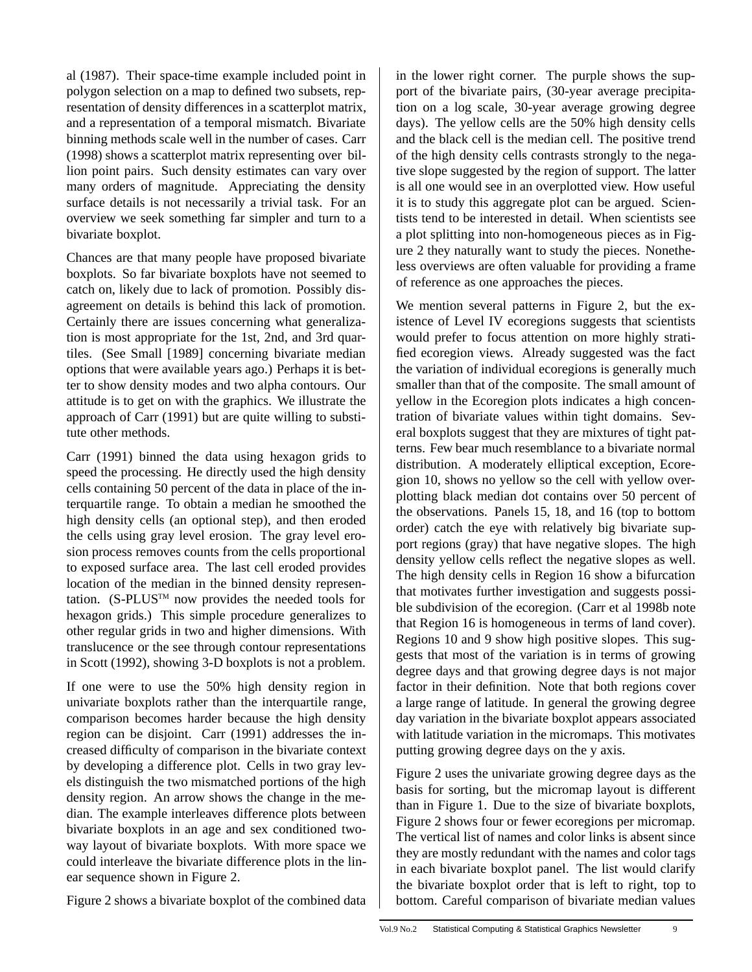al (1987). Their space-time example included point in polygon selection on a map to defined two subsets, representation of density differences in a scatterplot matrix, and a representation of a temporal mismatch. Bivariate binning methods scale well in the number of cases. Carr (1998) shows a scatterplot matrix representing over billion point pairs. Such density estimates can vary over many orders of magnitude. Appreciating the density surface details is not necessarily a trivial task. For an overview we seek something far simpler and turn to a bivariate boxplot.

Chances are that many people have proposed bivariate boxplots. So far bivariate boxplots have not seemed to catch on, likely due to lack of promotion. Possibly disagreement on details is behind this lack of promotion. Certainly there are issues concerning what generalization is most appropriate for the 1st, 2nd, and 3rd quartiles. (See Small [1989] concerning bivariate median options that were available years ago.) Perhaps it is better to show density modes and two alpha contours. Our attitude is to get on with the graphics. We illustrate the approach of Carr (1991) but are quite willing to substitute other methods.

Carr (1991) binned the data using hexagon grids to speed the processing. He directly used the high density cells containing 50 percent of the data in place of the interquartile range. To obtain a median he smoothed the high density cells (an optional step), and then eroded the cells using gray level erosion. The gray level erosion process removes counts from the cells proportional to exposed surface area. The last cell eroded provides location of the median in the binned density representation.  $(S-PLUS^{TM})$  now provides the needed tools for hexagon grids.) This simple procedure generalizes to other regular grids in two and higher dimensions. With translucence or the see through contour representations in Scott (1992), showing 3-D boxplots is not a problem.

If one were to use the 50% high density region in univariate boxplots rather than the interquartile range, comparison becomes harder because the high density region can be disjoint. Carr (1991) addresses the increased difficulty of comparison in the bivariate context by developing a difference plot. Cells in two gray levels distinguish the two mismatched portions of the high density region. An arrow shows the change in the median. The example interleaves difference plots between bivariate boxplots in an age and sex conditioned twoway layout of bivariate boxplots. With more space we could interleave the bivariate difference plots in the linear sequence shown in Figure 2.

Figure 2 shows a bivariate boxplot of the combined data

in the lower right corner. The purple shows the support of the bivariate pairs, (30-year average precipitation on a log scale, 30-year average growing degree days). The yellow cells are the 50% high density cells and the black cell is the median cell. The positive trend of the high density cells contrasts strongly to the negative slope suggested by the region of support. The latter is all one would see in an overplotted view. How useful it is to study this aggregate plot can be argued. Scientists tend to be interested in detail. When scientists see a plot splitting into non-homogeneous pieces as in Figure 2 they naturally want to study the pieces. Nonetheless overviews are often valuable for providing a frame of reference as one approaches the pieces.

We mention several patterns in Figure 2, but the existence of Level IV ecoregions suggests that scientists would prefer to focus attention on more highly stratified ecoregion views. Already suggested was the fact the variation of individual ecoregions is generally much smaller than that of the composite. The small amount of yellow in the Ecoregion plots indicates a high concentration of bivariate values within tight domains. Several boxplots suggest that they are mixtures of tight patterns. Few bear much resemblance to a bivariate normal distribution. A moderately elliptical exception, Ecoregion 10, shows no yellow so the cell with yellow overplotting black median dot contains over 50 percent of the observations. Panels 15, 18, and 16 (top to bottom order) catch the eye with relatively big bivariate support regions (gray) that have negative slopes. The high density yellow cells reflect the negative slopes as well. The high density cells in Region 16 show a bifurcation that motivates further investigation and suggests possible subdivision of the ecoregion. (Carr et al 1998b note that Region 16 is homogeneous in terms of land cover). Regions 10 and 9 show high positive slopes. This suggests that most of the variation is in terms of growing degree days and that growing degree days is not major factor in their definition. Note that both regions cover a large range of latitude. In general the growing degree day variation in the bivariate boxplot appears associated with latitude variation in the micromaps. This motivates putting growing degree days on the y axis.

Figure 2 uses the univariate growing degree days as the basis for sorting, but the micromap layout is different than in Figure 1. Due to the size of bivariate boxplots, Figure 2 shows four or fewer ecoregions per micromap. The vertical list of names and color links is absent since they are mostly redundant with the names and color tags in each bivariate boxplot panel. The list would clarify the bivariate boxplot order that is left to right, top to bottom. Careful comparison of bivariate median values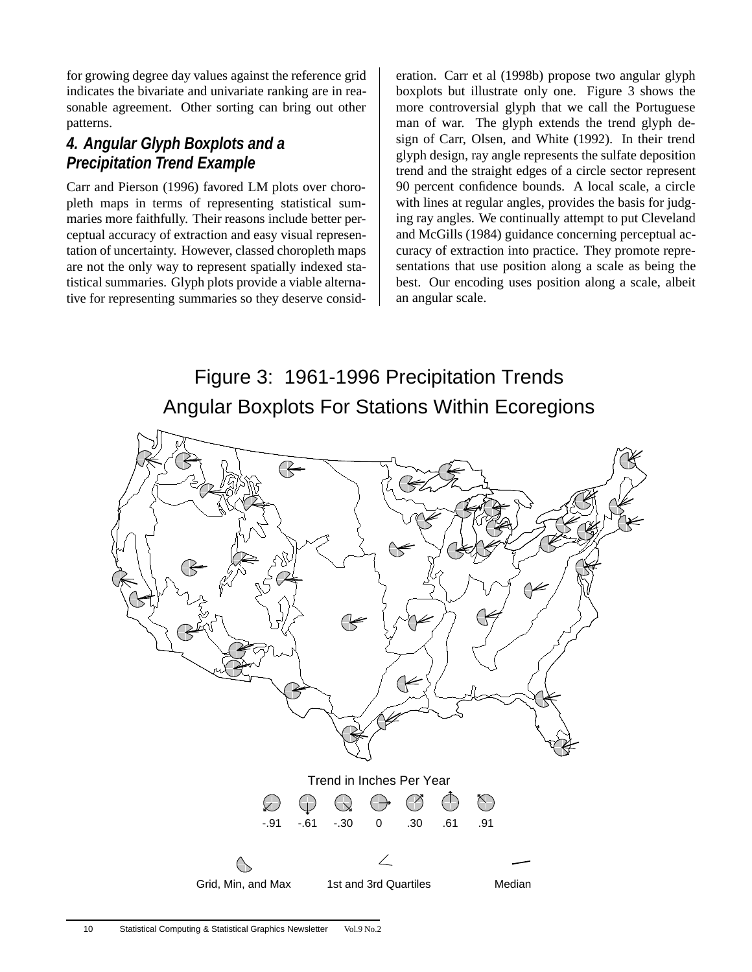for growing degree day values against the reference grid indicates the bivariate and univariate ranking are in reasonable agreement. Other sorting can bring out other patterns.

## **4. Angular Glyph Boxplots and a Precipitation Trend Example**

Carr and Pierson (1996) favored LM plots over choropleth maps in terms of representing statistical summaries more faithfully. Their reasons include better perceptual accuracy of extraction and easy visual representation of uncertainty. However, classed choropleth maps are not the only way to represent spatially indexed statistical summaries. Glyph plots provide a viable alternative for representing summaries so they deserve consideration. Carr et al (1998b) propose two angular glyph boxplots but illustrate only one. Figure 3 shows the more controversial glyph that we call the Portuguese man of war. The glyph extends the trend glyph design of Carr, Olsen, and White (1992). In their trend glyph design, ray angle represents the sulfate deposition trend and the straight edges of a circle sector represent 90 percent confidence bounds. A local scale, a circle with lines at regular angles, provides the basis for judging ray angles. We continually attempt to put Cleveland and McGills (1984) guidance concerning perceptual accuracy of extraction into practice. They promote representations that use position along a scale as being the best. Our encoding uses position along a scale, albeit an angular scale.

Figure 3: 1961-1996 Precipitation Trends Angular Boxplots For Stations Within Ecoregions

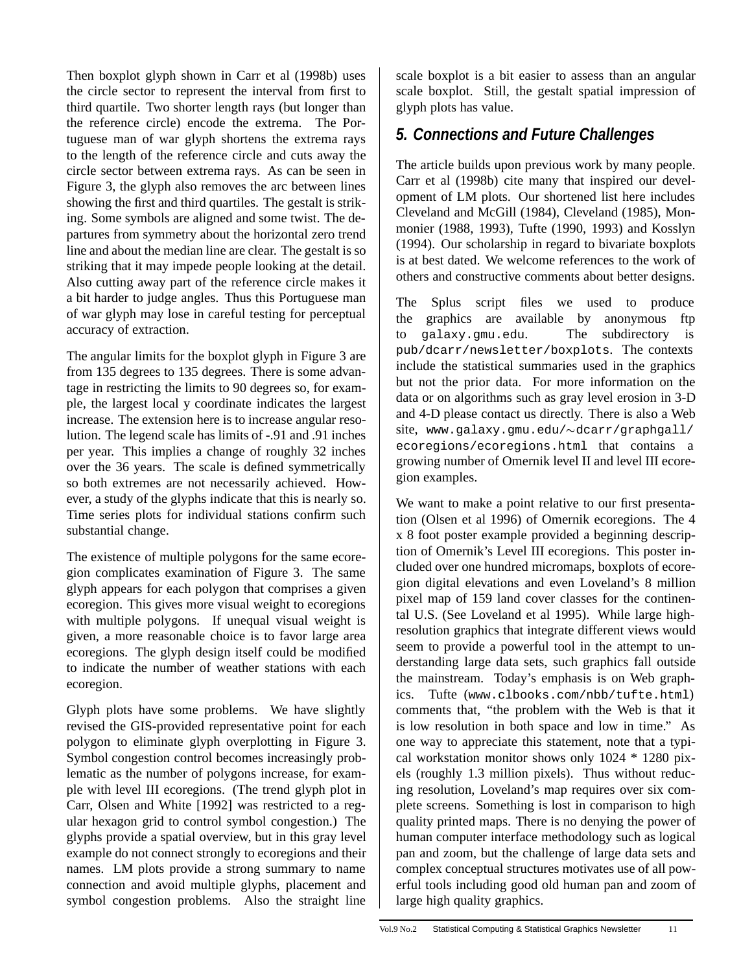Then boxplot glyph shown in Carr et al (1998b) uses the circle sector to represent the interval from first to third quartile. Two shorter length rays (but longer than the reference circle) encode the extrema. The Portuguese man of war glyph shortens the extrema rays to the length of the reference circle and cuts away the circle sector between extrema rays. As can be seen in Figure 3, the glyph also removes the arc between lines showing the first and third quartiles. The gestalt is striking. Some symbols are aligned and some twist. The departures from symmetry about the horizontal zero trend line and about the median line are clear. The gestalt is so striking that it may impede people looking at the detail. Also cutting away part of the reference circle makes it a bit harder to judge angles. Thus this Portuguese man of war glyph may lose in careful testing for perceptual accuracy of extraction.

The angular limits for the boxplot glyph in Figure 3 are from 135 degrees to 135 degrees. There is some advantage in restricting the limits to 90 degrees so, for example, the largest local y coordinate indicates the largest increase. The extension here is to increase angular resolution. The legend scale has limits of -.91 and .91 inches per year. This implies a change of roughly 32 inches over the 36 years. The scale is defined symmetrically so both extremes are not necessarily achieved. However, a study of the glyphs indicate that this is nearly so. Time series plots for individual stations confirm such substantial change.

The existence of multiple polygons for the same ecoregion complicates examination of Figure 3. The same glyph appears for each polygon that comprises a given ecoregion. This gives more visual weight to ecoregions with multiple polygons. If unequal visual weight is given, a more reasonable choice is to favor large area ecoregions. The glyph design itself could be modified to indicate the number of weather stations with each ecoregion.

Glyph plots have some problems. We have slightly revised the GIS-provided representative point for each polygon to eliminate glyph overplotting in Figure 3. Symbol congestion control becomes increasingly problematic as the number of polygons increase, for example with level III ecoregions. (The trend glyph plot in Carr, Olsen and White [1992] was restricted to a regular hexagon grid to control symbol congestion.) The glyphs provide a spatial overview, but in this gray level example do not connect strongly to ecoregions and their names. LM plots provide a strong summary to name connection and avoid multiple glyphs, placement and symbol congestion problems. Also the straight line

scale boxplot is a bit easier to assess than an angular scale boxplot. Still, the gestalt spatial impression of glyph plots has value.

#### **5. Connections and Future Challenges**

The article builds upon previous work by many people. Carr et al (1998b) cite many that inspired our development of LM plots. Our shortened list here includes Cleveland and McGill (1984), Cleveland (1985), Monmonier (1988, 1993), Tufte (1990, 1993) and Kosslyn (1994). Our scholarship in regard to bivariate boxplots is at best dated. We welcome references to the work of others and constructive comments about better designs.

The Splus script files we used to produce the graphics are available by anonymous ftp to galaxy.gmu.edu. The subdirectory is pub/dcarr/newsletter/boxplots. The contexts include the statistical summaries used in the graphics but not the prior data. For more information on the data or on algorithms such as gray level erosion in 3-D and 4-D please contact us directly. There is also a Web site, www.galaxy.gmu.edu/~dcarr/graphgall/ ecoregions/ecoregions.html that contains a growing number of Omernik level II and level III ecoregion examples.

We want to make a point relative to our first presentation (Olsen et al 1996) of Omernik ecoregions. The 4 x 8 foot poster example provided a beginning description of Omernik's Level III ecoregions. This poster included over one hundred micromaps, boxplots of ecoregion digital elevations and even Loveland's 8 million pixel map of 159 land cover classes for the continental U.S. (See Loveland et al 1995). While large highresolution graphics that integrate different views would seem to provide a powerful tool in the attempt to understanding large data sets, such graphics fall outside the mainstream. Today's emphasis is on Web graphics. Tufte (www.clbooks.com/nbb/tufte.html) comments that, "the problem with the Web is that it is low resolution in both space and low in time." As one way to appreciate this statement, note that a typical workstation monitor shows only 1024 \* 1280 pixels (roughly 1.3 million pixels). Thus without reducing resolution, Loveland's map requires over six complete screens. Something is lost in comparison to high quality printed maps. There is no denying the power of human computer interface methodology such as logical pan and zoom, but the challenge of large data sets and complex conceptual structures motivates use of all powerful tools including good old human pan and zoom of large high quality graphics.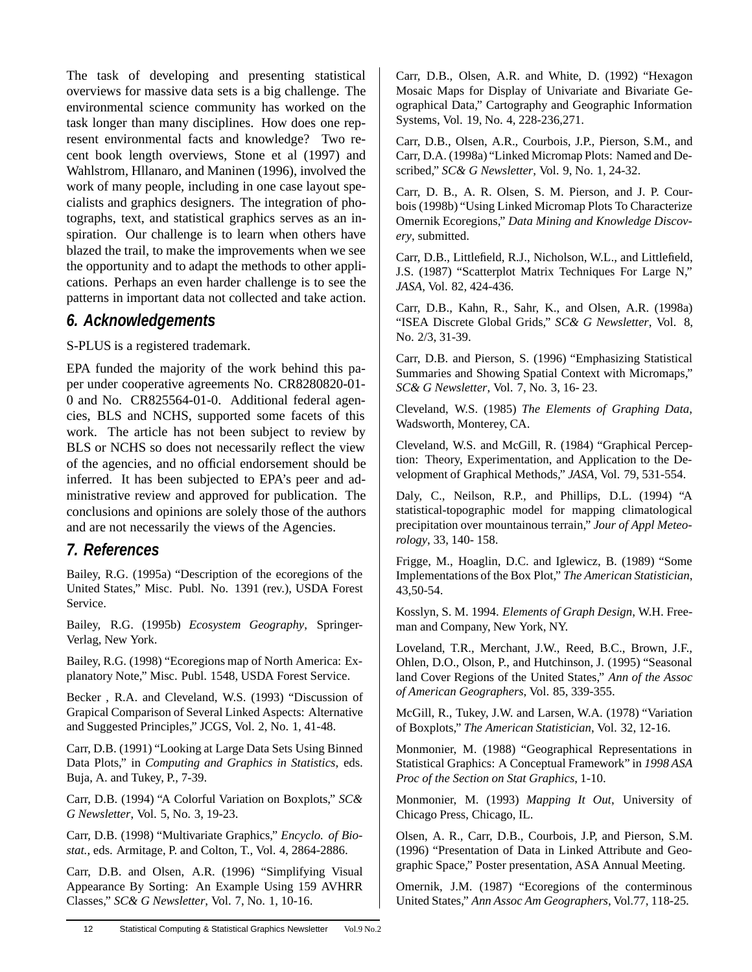The task of developing and presenting statistical overviews for massive data sets is a big challenge. The environmental science community has worked on the task longer than many disciplines. How does one represent environmental facts and knowledge? Two recent book length overviews, Stone et al (1997) and Wahlstrom, Hllanaro, and Maninen (1996), involved the work of many people, including in one case layout specialists and graphics designers. The integration of photographs, text, and statistical graphics serves as an inspiration. Our challenge is to learn when others have blazed the trail, to make the improvements when we see the opportunity and to adapt the methods to other applications. Perhaps an even harder challenge is to see the patterns in important data not collected and take action.

#### **6. Acknowledgements**

S-PLUS is a registered trademark.

EPA funded the majority of the work behind this paper under cooperative agreements No. CR8280820-01- 0 and No. CR825564-01-0. Additional federal agencies, BLS and NCHS, supported some facets of this work. The article has not been subject to review by BLS or NCHS so does not necessarily reflect the view of the agencies, and no official endorsement should be inferred. It has been subjected to EPA's peer and administrative review and approved for publication. The conclusions and opinions are solely those of the authors and are not necessarily the views of the Agencies.

#### **7. References**

Bailey, R.G. (1995a) "Description of the ecoregions of the United States," Misc. Publ. No. 1391 (rev.), USDA Forest Service.

Bailey, R.G. (1995b) *Ecosystem Geography*, Springer-Verlag, New York.

Bailey, R.G. (1998) "Ecoregions map of North America: Explanatory Note," Misc. Publ. 1548, USDA Forest Service.

Becker , R.A. and Cleveland, W.S. (1993) "Discussion of Grapical Comparison of Several Linked Aspects: Alternative and Suggested Principles," JCGS, Vol. 2, No. 1, 41-48.

Carr, D.B. (1991) "Looking at Large Data Sets Using Binned Data Plots," in *Computing and Graphics in Statistics*, eds. Buja, A. and Tukey, P., 7-39.

Carr, D.B. (1994) "A Colorful Variation on Boxplots," *SC& G Newsletter*, Vol. 5, No. 3, 19-23.

Carr, D.B. (1998) "Multivariate Graphics," *Encyclo. of Biostat.*, eds. Armitage, P. and Colton, T., Vol. 4, 2864-2886.

Carr, D.B. and Olsen, A.R. (1996) "Simplifying Visual Appearance By Sorting: An Example Using 159 AVHRR Classes," *SC& G Newsletter*, Vol. 7, No. 1, 10-16.

Carr, D.B., Olsen, A.R. and White, D. (1992) "Hexagon Mosaic Maps for Display of Univariate and Bivariate Geographical Data," Cartography and Geographic Information Systems, Vol. 19, No. 4, 228-236,271.

Carr, D.B., Olsen, A.R., Courbois, J.P., Pierson, S.M., and Carr, D.A. (1998a) "Linked Micromap Plots: Named and Described," *SC& G Newsletter*, Vol. 9, No. 1, 24-32.

Carr, D. B., A. R. Olsen, S. M. Pierson, and J. P. Courbois (1998b) "Using Linked Micromap Plots To Characterize Omernik Ecoregions," *Data Mining and Knowledge Discovery*, submitted.

Carr, D.B., Littlefield, R.J., Nicholson, W.L., and Littlefield, J.S. (1987) "Scatterplot Matrix Techniques For Large N," *JASA*, Vol. 82, 424-436.

Carr, D.B., Kahn, R., Sahr, K., and Olsen, A.R. (1998a) "ISEA Discrete Global Grids," *SC& G Newsletter*, Vol. 8, No. 2/3, 31-39.

Carr, D.B. and Pierson, S. (1996) "Emphasizing Statistical Summaries and Showing Spatial Context with Micromaps," *SC& G Newsletter*, Vol. 7, No. 3, 16- 23.

Cleveland, W.S. (1985) *The Elements of Graphing Data*, Wadsworth, Monterey, CA.

Cleveland, W.S. and McGill, R. (1984) "Graphical Perception: Theory, Experimentation, and Application to the Development of Graphical Methods," *JASA*, Vol. 79, 531-554.

Daly, C., Neilson, R.P., and Phillips, D.L. (1994) "A statistical-topographic model for mapping climatological precipitation over mountainous terrain," *Jour of Appl Meteorology*, 33, 140- 158.

Frigge, M., Hoaglin, D.C. and Iglewicz, B. (1989) "Some Implementations of the Box Plot," *The American Statistician*, 43,50-54.

Kosslyn, S. M. 1994. *Elements of Graph Design*, W.H. Freeman and Company, New York, NY.

Loveland, T.R., Merchant, J.W., Reed, B.C., Brown, J.F., Ohlen, D.O., Olson, P., and Hutchinson, J. (1995) "Seasonal land Cover Regions of the United States," *Ann of the Assoc of American Geographers*, Vol. 85, 339-355.

McGill, R., Tukey, J.W. and Larsen, W.A. (1978) "Variation of Boxplots," *The American Statistician*, Vol. 32, 12-16.

Monmonier, M. (1988) "Geographical Representations in Statistical Graphics: A Conceptual Framework" in *1998 ASA Proc of the Section on Stat Graphics*, 1-10.

Monmonier, M. (1993) *Mapping It Out*, University of Chicago Press, Chicago, IL.

Olsen, A. R., Carr, D.B., Courbois, J.P, and Pierson, S.M. (1996) "Presentation of Data in Linked Attribute and Geographic Space," Poster presentation, ASA Annual Meeting.

Omernik, J.M. (1987) "Ecoregions of the conterminous United States," *Ann Assoc Am Geographers*, Vol.77, 118-25.